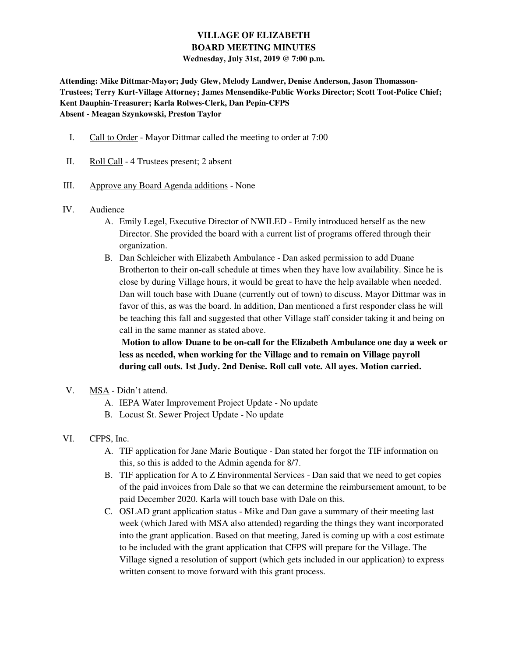# **VILLAGE OF ELIZABETH BOARD MEETING MINUTES Wednesday, July 31st, 2019 @ 7:00 p.m.**

**Attending: Mike Dittmar-Mayor; Judy Glew, Melody Landwer, Denise Anderson, Jason Thomasson-Trustees; Terry Kurt-Village Attorney; James Mensendike-Public Works Director; Scott Toot-Police Chief; Kent Dauphin-Treasurer; Karla Rolwes-Clerk, Dan Pepin-CFPS Absent - Meagan Szynkowski, Preston Taylor** 

- I. Call to Order Mayor Dittmar called the meeting to order at 7:00
- II. Roll Call 4 Trustees present; 2 absent
- III. Approve any Board Agenda additions None
- IV. Audience
	- A. Emily Legel, Executive Director of NWILED Emily introduced herself as the new Director. She provided the board with a current list of programs offered through their organization.
	- B. Dan Schleicher with Elizabeth Ambulance Dan asked permission to add Duane Brotherton to their on-call schedule at times when they have low availability. Since he is close by during Village hours, it would be great to have the help available when needed. Dan will touch base with Duane (currently out of town) to discuss. Mayor Dittmar was in favor of this, as was the board. In addition, Dan mentioned a first responder class he will be teaching this fall and suggested that other Village staff consider taking it and being on call in the same manner as stated above.

**Motion to allow Duane to be on-call for the Elizabeth Ambulance one day a week or less as needed, when working for the Village and to remain on Village payroll during call outs. 1st Judy. 2nd Denise. Roll call vote. All ayes. Motion carried.** 

- V. MSA Didn't attend.
	- A. IEPA Water Improvement Project Update No update
	- B. Locust St. Sewer Project Update No update
- VI. CFPS, Inc.
	- A. TIF application for Jane Marie Boutique Dan stated her forgot the TIF information on this, so this is added to the Admin agenda for 8/7.
	- B. TIF application for A to Z Environmental Services Dan said that we need to get copies of the paid invoices from Dale so that we can determine the reimbursement amount, to be paid December 2020. Karla will touch base with Dale on this.
	- C. OSLAD grant application status Mike and Dan gave a summary of their meeting last week (which Jared with MSA also attended) regarding the things they want incorporated into the grant application. Based on that meeting, Jared is coming up with a cost estimate to be included with the grant application that CFPS will prepare for the Village. The Village signed a resolution of support (which gets included in our application) to express written consent to move forward with this grant process.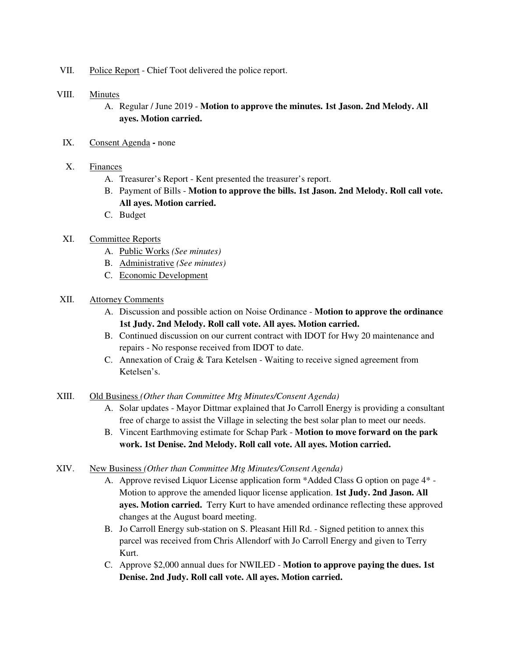VII. Police Report - Chief Toot delivered the police report.

## VIII. Minutes

- A. Regular / June 2019 **Motion to approve the minutes. 1st Jason. 2nd Melody. All ayes. Motion carried.**
- IX. Consent Agendanone
- X. Finances
	- A. Treasurer's Report Kent presented the treasurer's report.
	- B. Payment of Bills **Motion to approve the bills. 1st Jason. 2nd Melody. Roll call vote. All ayes. Motion carried.**
	- C. Budget

## XI. Committee Reports

- A. Public Works *(See minutes)*
- B. Administrative *(See minutes)*
- C. Economic Development

## XII. Attorney Comments

- A. Discussion and possible action on Noise Ordinance **Motion to approve the ordinance 1st Judy. 2nd Melody. Roll call vote. All ayes. Motion carried.**
- B. Continued discussion on our current contract with IDOT for Hwy 20 maintenance and repairs - No response received from IDOT to date.
- C. Annexation of Craig & Tara Ketelsen Waiting to receive signed agreement from Ketelsen's.

### XIII. Old Business *(Other than Committee Mtg Minutes/Consent Agenda)*

- A. Solar updates Mayor Dittmar explained that Jo Carroll Energy is providing a consultant free of charge to assist the Village in selecting the best solar plan to meet our needs.
- B. Vincent Earthmoving estimate for Schap Park **Motion to move forward on the park work. 1st Denise. 2nd Melody. Roll call vote. All ayes. Motion carried.**

### XIV. New Business *(Other than Committee Mtg Minutes/Consent Agenda)*

- A. Approve revised Liquor License application form \*Added Class G option on page 4\* Motion to approve the amended liquor license application. **1st Judy. 2nd Jason. All ayes. Motion carried.** Terry Kurt to have amended ordinance reflecting these approved changes at the August board meeting.
- B. Jo Carroll Energy sub-station on S. Pleasant Hill Rd. Signed petition to annex this parcel was received from Chris Allendorf with Jo Carroll Energy and given to Terry Kurt.
- C. Approve \$2,000 annual dues for NWILED **Motion to approve paying the dues. 1st Denise. 2nd Judy. Roll call vote. All ayes. Motion carried.**